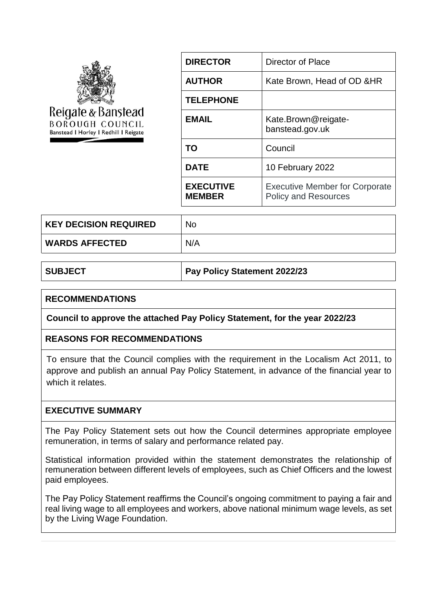| Reigate & Banstead<br><b>BOROUGH COUNCIL</b><br>Banstead I Horley I Redhill I Reigate | <b>DIRECTOR</b>                   | Director of Place                                                    |
|---------------------------------------------------------------------------------------|-----------------------------------|----------------------------------------------------------------------|
|                                                                                       | <b>AUTHOR</b>                     | Kate Brown, Head of OD & HR                                          |
|                                                                                       | <b>TELEPHONE</b>                  |                                                                      |
|                                                                                       | <b>EMAIL</b>                      | Kate.Brown@reigate-<br>banstead.gov.uk                               |
|                                                                                       | <b>TO</b>                         | Council                                                              |
|                                                                                       | <b>DATE</b>                       | 10 February 2022                                                     |
|                                                                                       | <b>EXECUTIVE</b><br><b>MEMBER</b> | <b>Executive Member for Corporate</b><br><b>Policy and Resources</b> |

| <b>KEY DECISION REQUIRED</b> | No  |
|------------------------------|-----|
| <b>WARDS AFFECTED</b>        | N/A |

**SUBJECT Pay Policy Statement 2022/23**

#### **RECOMMENDATIONS**

**Council to approve the attached Pay Policy Statement, for the year 2022/23**

### **REASONS FOR RECOMMENDATIONS**

To ensure that the Council complies with the requirement in the Localism Act 2011, to approve and publish an annual Pay Policy Statement, in advance of the financial year to which it relates.

### **EXECUTIVE SUMMARY**

The Pay Policy Statement sets out how the Council determines appropriate employee remuneration, in terms of salary and performance related pay.

Statistical information provided within the statement demonstrates the relationship of remuneration between different levels of employees, such as Chief Officers and the lowest paid employees.

The Pay Policy Statement reaffirms the Council's ongoing commitment to paying a fair and real living wage to all employees and workers, above national minimum wage levels, as set by the Living Wage Foundation.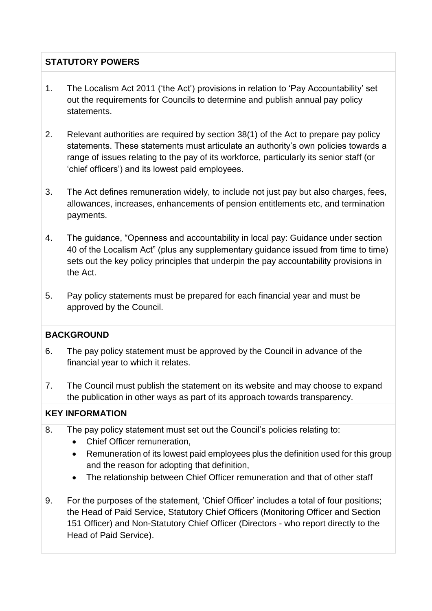# **STATUTORY POWERS**

- 1. The Localism Act 2011 ('the Act') provisions in relation to 'Pay Accountability' set out the requirements for Councils to determine and publish annual pay policy statements.
- 2. Relevant authorities are required by section 38(1) of the Act to prepare pay policy statements. These statements must articulate an authority's own policies towards a range of issues relating to the pay of its workforce, particularly its senior staff (or 'chief officers') and its lowest paid employees.
- 3. The Act defines remuneration widely, to include not just pay but also charges, fees, allowances, increases, enhancements of pension entitlements etc, and termination payments.
- 4. The guidance, "Openness and accountability in local pay: Guidance under section 40 of the Localism Act" (plus any supplementary guidance issued from time to time) sets out the key policy principles that underpin the pay accountability provisions in the Act.
- 5. Pay policy statements must be prepared for each financial year and must be approved by the Council.

# **BACKGROUND**

- 6. The pay policy statement must be approved by the Council in advance of the financial year to which it relates.
- 7. The Council must publish the statement on its website and may choose to expand the publication in other ways as part of its approach towards transparency.

# **KEY INFORMATION**

- 8. The pay policy statement must set out the Council's policies relating to:
	- Chief Officer remuneration.
	- Remuneration of its lowest paid employees plus the definition used for this group and the reason for adopting that definition,
	- The relationship between Chief Officer remuneration and that of other staff
- 9. For the purposes of the statement, 'Chief Officer' includes a total of four positions; the Head of Paid Service, Statutory Chief Officers (Monitoring Officer and Section 151 Officer) and Non-Statutory Chief Officer (Directors - who report directly to the Head of Paid Service).